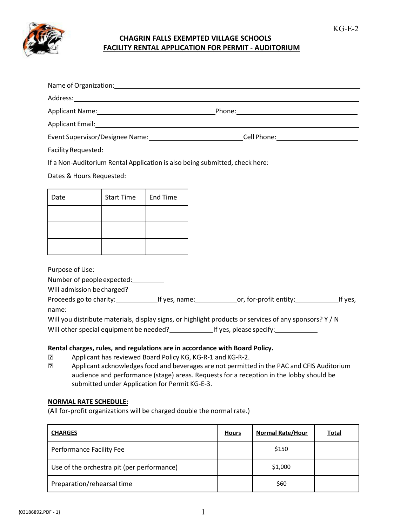

## **CHAGRIN FALLS EXEMPTED VILLAGE SCHOOLS FACILITY RENTAL APPLICATION FOR PERMIT - AUDITORIUM**

Name of Organization:

|                                                                                                                                                                                                                                                                                                                                                                                                                                                                 |                   |                                                                                                              |              | Event Supervisor/Designee Name: _________________________________Cell Phone: _______________________                                                                                                                                                                                                                                                                                                   |              |
|-----------------------------------------------------------------------------------------------------------------------------------------------------------------------------------------------------------------------------------------------------------------------------------------------------------------------------------------------------------------------------------------------------------------------------------------------------------------|-------------------|--------------------------------------------------------------------------------------------------------------|--------------|--------------------------------------------------------------------------------------------------------------------------------------------------------------------------------------------------------------------------------------------------------------------------------------------------------------------------------------------------------------------------------------------------------|--------------|
|                                                                                                                                                                                                                                                                                                                                                                                                                                                                 |                   |                                                                                                              |              |                                                                                                                                                                                                                                                                                                                                                                                                        |              |
| If a Non-Auditorium Rental Application is also being submitted, check here: ______                                                                                                                                                                                                                                                                                                                                                                              |                   |                                                                                                              |              |                                                                                                                                                                                                                                                                                                                                                                                                        |              |
| Dates & Hours Requested:                                                                                                                                                                                                                                                                                                                                                                                                                                        |                   |                                                                                                              |              |                                                                                                                                                                                                                                                                                                                                                                                                        |              |
| Date                                                                                                                                                                                                                                                                                                                                                                                                                                                            | <b>Start Time</b> | <b>End Time</b>                                                                                              |              |                                                                                                                                                                                                                                                                                                                                                                                                        |              |
|                                                                                                                                                                                                                                                                                                                                                                                                                                                                 |                   |                                                                                                              |              |                                                                                                                                                                                                                                                                                                                                                                                                        |              |
|                                                                                                                                                                                                                                                                                                                                                                                                                                                                 |                   |                                                                                                              |              |                                                                                                                                                                                                                                                                                                                                                                                                        |              |
|                                                                                                                                                                                                                                                                                                                                                                                                                                                                 |                   |                                                                                                              |              |                                                                                                                                                                                                                                                                                                                                                                                                        |              |
| Purpose of Use: New York Changes and Changes and Changes and Changes and Changes and Changes and Changes and Changes and Changes and Changes and Changes and Changes and Changes and Changes and Changes and Changes and Chang<br>Number of people expected:<br>Rental charges, rules, and regulations are in accordance with Board Policy.<br>卪<br>⊡<br><b>NORMAL RATE SCHEDULE:</b><br>(All for-profit organizations will be charged double the normal rate.) |                   | Applicant has reviewed Board Policy KG, KG-R-1 and KG-R-2.<br>submitted under Application for Permit KG-E-3. |              | Will you distribute materials, display signs, or highlight products or services of any sponsors? Y / N<br>Will other special equipment be needed? ____________________If yes, please specify: _______________<br>Applicant acknowledges food and beverages are not permitted in the PAC and CFIS Auditorium<br>audience and performance (stage) areas. Requests for a reception in the lobby should be |              |
| <b>CHARGES</b>                                                                                                                                                                                                                                                                                                                                                                                                                                                  |                   |                                                                                                              | <b>Hours</b> | <b>Normal Rate/Hour</b>                                                                                                                                                                                                                                                                                                                                                                                | <b>Total</b> |
| Performance Facility Fee                                                                                                                                                                                                                                                                                                                                                                                                                                        |                   |                                                                                                              |              | \$150                                                                                                                                                                                                                                                                                                                                                                                                  |              |
| Use of the orchestra pit (per performance)                                                                                                                                                                                                                                                                                                                                                                                                                      |                   |                                                                                                              |              | \$1,000                                                                                                                                                                                                                                                                                                                                                                                                |              |
| Preparation/rehearsal time                                                                                                                                                                                                                                                                                                                                                                                                                                      |                   |                                                                                                              |              | \$60                                                                                                                                                                                                                                                                                                                                                                                                   |              |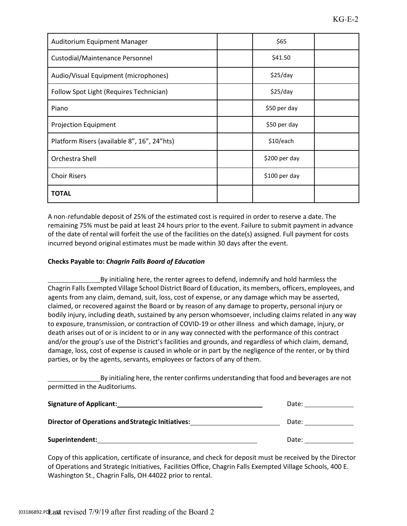| Auditorium Equipment Manager                |  | \$65         |  |  |
|---------------------------------------------|--|--------------|--|--|
| Custodial/Maintenance Personnel             |  | \$41.50      |  |  |
| Audio/Visual Equipment (microphones)        |  | \$25/day     |  |  |
| Follow Spot Light (Requires Technician)     |  | \$25/day     |  |  |
| Piano                                       |  | \$50 per day |  |  |
| <b>Projection Equipment</b>                 |  | \$50 per day |  |  |
| Platform Risers (available 8", 16", 24"hts) |  | \$10/each    |  |  |
| Orchestra Shell<br>\$200 per day            |  |              |  |  |
| <b>Choir Risers</b><br>\$100 per day        |  |              |  |  |
| <b>TOTAL</b>                                |  |              |  |  |

A non-refundable deposit of 25% of the estimated cost is required in order to reserve a date. The remaining 75% must be paid at least 24 hours prior to the event. Failure to submit payment in advance of the date of rental will forfeit the use of the facilities on the date(s) assigned. Full payment for costs incurred beyond original estimates must be made within 30 days after the event.

## **Checks Payable to:** *Chagrin Falls Board of Education*

By initialing here, the renter agrees to defend, indemnify and hold harmless the Chagrin Falls Exempted Village School District Board of Education, its members, officers, employees, and agents from any claim, demand, suit, loss, cost of expense, or any damage which may be asserted, claimed, or recovered against the Board or by reason of any damage to property, personal injury or bodily injury, including death, sustained by any person whomsoever, including claims related in any way to exposure, transmission, or contraction of COVID-19 or other illness and which damage, injury, or death arises out of or is incident to or in any way connected with the performance of this contract and/or the group's use of the District's facilities and grounds, and regardless of which claim, demand, damage, loss, cost of expense is caused in whole or in part by the negligence of the renter, or by third parties, or by the agents, servants, employees or factors of any of them.

By initialing here, the renter confirms understanding that food and beverages are not permitted in the Auditoriums.

| <b>Signature of Applicant:</b>                           | Date: |  |
|----------------------------------------------------------|-------|--|
| <b>Director of Operations and Strategic Initiatives:</b> | Date: |  |
| Superintendent:                                          | Date: |  |

Copy of this application, certificate of insurance, and check for deposit must be received by the Director of Operations and Strategic Initiatives*,* Facilities Office, Chagrin Falls Exempted Village Schools, 400 E. Washington St., Chagrin Falls, OH 44022 prior to rental.